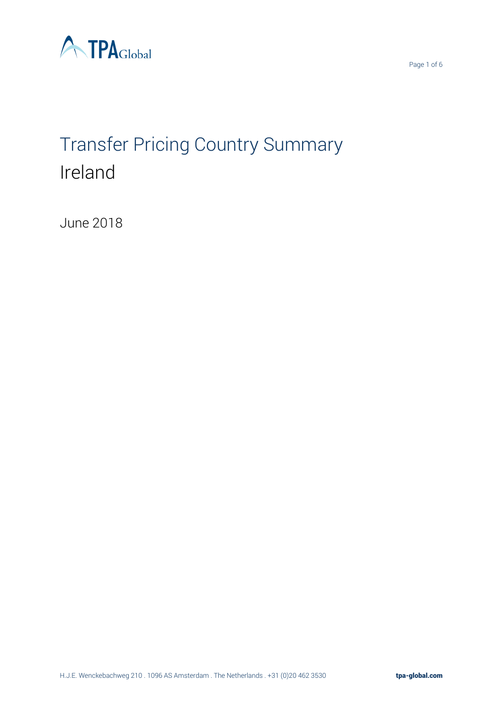

# Transfer Pricing Country Summary Ireland

June 2018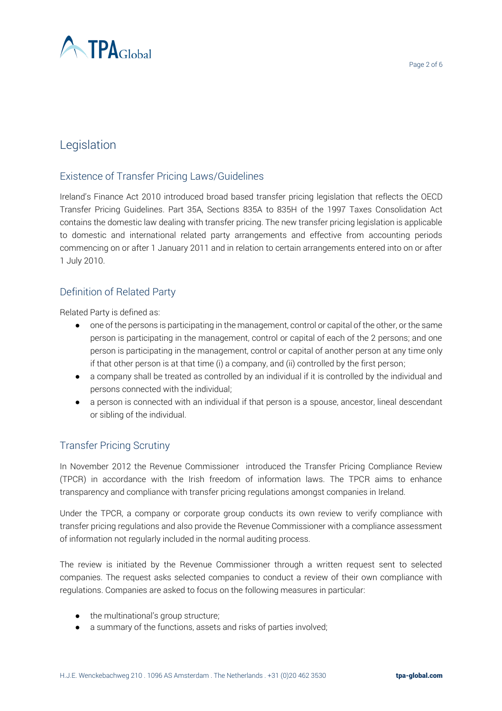

## Legislation

#### Existence of Transfer Pricing Laws/Guidelines

Ireland's Finance Act 2010 introduced broad based transfer pricing legislation that reflects the OECD Transfer Pricing Guidelines. Part 35A, Sections 835A to 835H of the 1997 Taxes Consolidation Act contains the domestic law dealing with transfer pricing. The new transfer pricing legislation is applicable to domestic and international related party arrangements and effective from accounting periods commencing on or after 1 January 2011 and in relation to certain arrangements entered into on or after 1 July 2010.

#### Definition of Related Party

Related Party is defined as:

- one of the persons is participating in the management, control or capital of the other, or the same person is participating in the management, control or capital of each of the 2 persons; and one person is participating in the management, control or capital of another person at any time only if that other person is at that time (i) a company, and (ii) controlled by the first person;
- a company shall be treated as controlled by an individual if it is controlled by the individual and persons connected with the individual;
- a person is connected with an individual if that person is a spouse, ancestor, lineal descendant or sibling of the individual.

#### Transfer Pricing Scrutiny

In November 2012 the Revenue Commissioner introduced the Transfer Pricing Compliance Review (TPCR) in accordance with the Irish freedom of information laws. The TPCR aims to enhance transparency and compliance with transfer pricing regulations amongst companies in Ireland.

Under the TPCR, a company or corporate group conducts its own review to verify compliance with transfer pricing regulations and also provide the Revenue Commissioner with a compliance assessment of information not regularly included in the normal auditing process.

The review is initiated by the Revenue Commissioner through a written request sent to selected companies. The request asks selected companies to conduct a review of their own compliance with regulations. Companies are asked to focus on the following measures in particular:

- the multinational's group structure;
- a summary of the functions, assets and risks of parties involved;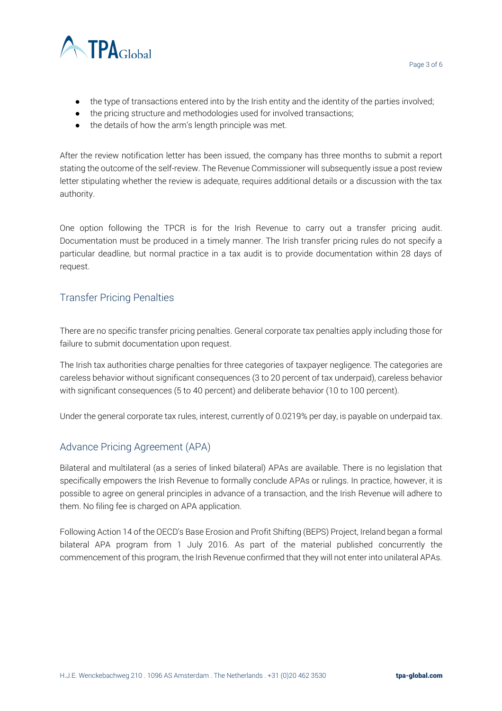

- the type of transactions entered into by the Irish entity and the identity of the parties involved;
- the pricing structure and methodologies used for involved transactions;
- the details of how the arm's length principle was met.

After the review notification letter has been issued, the company has three months to submit a report stating the outcome of the self-review. The Revenue Commissioner will subsequently issue a post review letter stipulating whether the review is adequate, requires additional details or a discussion with the tax authority.

One option following the TPCR is for the Irish Revenue to carry out a transfer pricing audit. Documentation must be produced in a timely manner. The Irish transfer pricing rules do not specify a particular deadline, but normal practice in a tax audit is to provide documentation within 28 days of request.

#### Transfer Pricing Penalties

There are no specific transfer pricing penalties. General corporate tax penalties apply including those for failure to submit documentation upon request.

The Irish tax authorities charge penalties for three categories of taxpayer negligence. The categories are careless behavior without significant consequences (3 to 20 percent of tax underpaid), careless behavior with significant consequences (5 to 40 percent) and deliberate behavior (10 to 100 percent).

Under the general corporate tax rules, interest, currently of 0.0219% per day, is payable on underpaid tax.

#### Advance Pricing Agreement (APA)

Bilateral and multilateral (as a series of linked bilateral) APAs are available. There is no legislation that specifically empowers the Irish Revenue to formally conclude APAs or rulings. In practice, however, it is possible to agree on general principles in advance of a transaction, and the Irish Revenue will adhere to them. No filing fee is charged on APA application.

Following Action 14 of the OECD's Base Erosion and Profit Shifting (BEPS) Project, Ireland began a formal bilateral APA program from 1 July 2016. As part of the material published concurrently the commencement of this program, the Irish Revenue confirmed that they will not enter into unilateral APAs.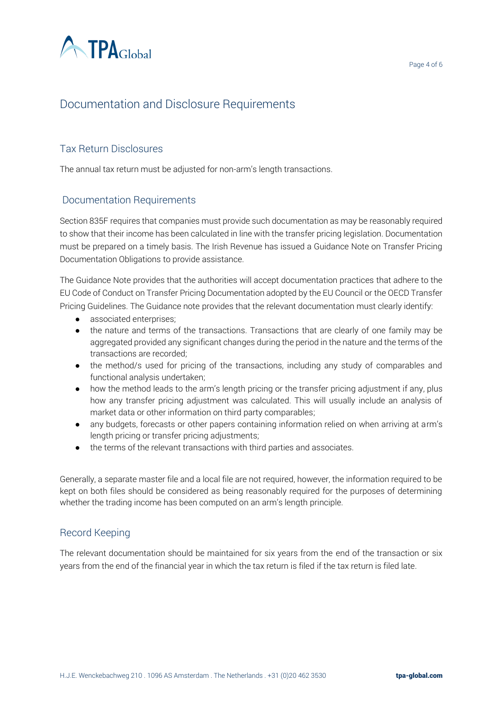

## Documentation and Disclosure Requirements

#### Tax Return Disclosures

The annual tax return must be adjusted for non-arm's length transactions.

#### Documentation Requirements

Section 835F requires that companies must provide such documentation as may be reasonably required to show that their income has been calculated in line with the transfer pricing legislation. Documentation must be prepared on a timely basis. The Irish Revenue has issued a Guidance Note on Transfer Pricing Documentation Obligations to provide assistance.

The Guidance Note provides that the authorities will accept documentation practices that adhere to the EU Code of Conduct on Transfer Pricing Documentation adopted by the EU Council or the OECD Transfer Pricing Guidelines. The Guidance note provides that the relevant documentation must clearly identify:

- associated enterprises;
- the nature and terms of the transactions. Transactions that are clearly of one family may be aggregated provided any significant changes during the period in the nature and the terms of the transactions are recorded;
- the method/s used for pricing of the transactions, including any study of comparables and functional analysis undertaken;
- how the method leads to the arm's length pricing or the transfer pricing adjustment if any, plus how any transfer pricing adjustment was calculated. This will usually include an analysis of market data or other information on third party comparables;
- any budgets, forecasts or other papers containing information relied on when arriving at arm's length pricing or transfer pricing adjustments;
- the terms of the relevant transactions with third parties and associates.

Generally, a separate master file and a local file are not required, however, the information required to be kept on both files should be considered as being reasonably required for the purposes of determining whether the trading income has been computed on an arm's length principle.

#### Record Keeping

The relevant documentation should be maintained for six years from the end of the transaction or six years from the end of the financial year in which the tax return is filed if the tax return is filed late.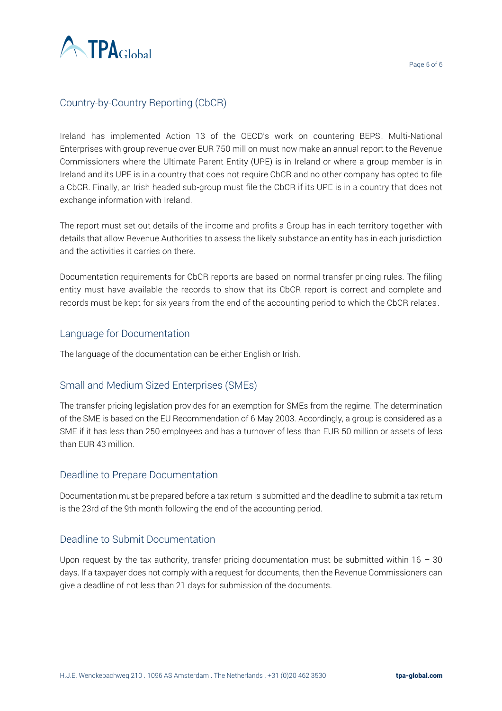

### Country-by-Country Reporting (CbCR)

Ireland has implemented Action 13 of the OECD's work on countering BEPS. Multi-National Enterprises with group revenue over EUR 750 million must now make an annual report to the Revenue Commissioners where the Ultimate Parent Entity (UPE) is in Ireland or where a group member is in Ireland and its UPE is in a country that does not require CbCR and no other company has opted to file a CbCR. Finally, an Irish headed sub-group must file the CbCR if its UPE is in a country that does not exchange information with Ireland.

The report must set out details of the income and profits a Group has in each territory together with details that allow Revenue Authorities to assess the likely substance an entity has in each jurisdiction and the activities it carries on there.

Documentation requirements for CbCR reports are based on normal transfer pricing rules. The filing entity must have available the records to show that its CbCR report is correct and complete and records must be kept for six years from the end of the accounting period to which the CbCR relates.

#### Language for Documentation

The language of the documentation can be either English or Irish.

#### Small and Medium Sized Enterprises (SMEs)

The transfer pricing legislation provides for an exemption for SMEs from the regime. The determination of the SME is based on the EU Recommendation of 6 May 2003. Accordingly, a group is considered as a SME if it has less than 250 employees and has a turnover of less than EUR 50 million or assets of less than EUR 43 million.

#### Deadline to Prepare Documentation

Documentation must be prepared before a tax return is submitted and the deadline to submit a tax return is the 23rd of the 9th month following the end of the accounting period.

#### Deadline to Submit Documentation

Upon request by the tax authority, transfer pricing documentation must be submitted within  $16 - 30$ days. If a taxpayer does not comply with a request for documents, then the Revenue Commissioners can give a deadline of not less than 21 days for submission of the documents.